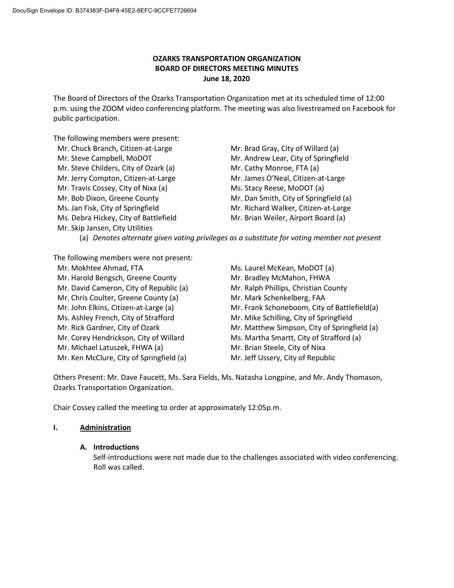# **OZARKS TRANSPORTATION ORGANIZATION BOARD OF DIRECTORS MEETING MINUTES June 18, 2020**

The Board of Directors of the Ozarks Transportation Organization met at its scheduled time of 12:00 p.m. using the ZOOM video conferencing platform. The meeting was also livestreamed on Facebook for public participation.

The following members were present:

| Mr. Chuck Branch, Citizen-at-Large    | Mr. Brad Gray, City of Willard (a)     |
|---------------------------------------|----------------------------------------|
| Mr. Steve Campbell, MoDOT             | Mr. Andrew Lear, City of Springfield   |
| Mr. Steve Childers, City of Ozark (a) | Mr. Cathy Monroe, FTA (a)              |
| Mr. Jerry Compton, Citizen-at-Large   | Mr. James O'Neal, Citizen-at-Large     |
| Mr. Travis Cossey, City of Nixa (a)   | Ms. Stacy Reese, MoDOT (a)             |
| Mr. Bob Dixon, Greene County          | Mr. Dan Smith, City of Springfield (a) |
| Ms. Jan Fisk, City of Springfield     | Mr. Richard Walker, Citizen-at-Large   |
| Ms. Debra Hickey, City of Battlefield | Mr. Brian Weiler, Airport Board (a)    |
| Mr. Skip Jansen, City Utilities       |                                        |
|                                       |                                        |

(a) *Denotes alternate given voting privileges as a substitute for voting member not present*

The following members were not present:

Mr. Mokhtee Ahmad, FTA Ms. Laurel McKean, MoDOT (a) Mr. Harold Bengsch, Greene County Mr. Bradley McMahon, FHWA Mr. David Cameron, City of Republic (a) Mr. Ralph Phillips, Christian County Mr. Chris Coulter, Greene County (a) Mr. Mark Schenkelberg, FAA Ms. Ashley French, City of Strafford Mr. Mike Schilling, City of Springfield Mr. Corey Hendrickson, City of Willard Ms. Martha Smartt, City of Strafford (a) Mr. Michael Latuszek, FHWA (a) Mr. Brian Steele, City of Nixa Mr. Ken McClure, City of Springfield (a) Mr. Jeff Ussery, City of Republic

Mr. John Elkins, Citizen-at-Large (a) Mr. Frank Schoneboom, City of Battlefield(a) Mr. Rick Gardner, City of Ozark Mr. Matthew Simpson, City of Springfield (a)

Others Present: Mr. Dave Faucett, Ms. Sara Fields, Ms. Natasha Longpine, and Mr. Andy Thomason, Ozarks Transportation Organization.

Chair Cossey called the meeting to order at approximately 12:05p.m.

# **I. Administration**

# **A. Introductions**

Self-introductions were not made due to the challenges associated with video conferencing. Roll was called.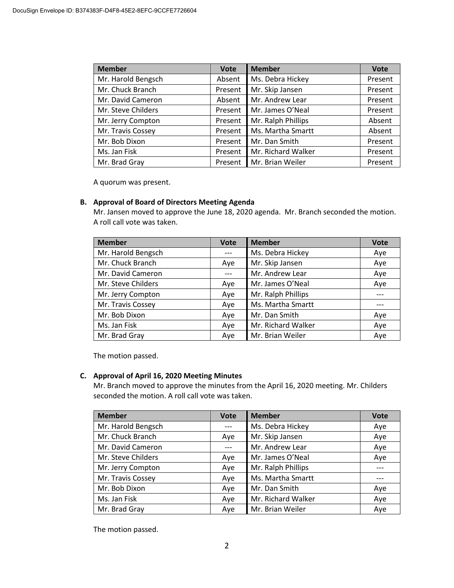| <b>Member</b>      | <b>Vote</b> | <b>Member</b>      | <b>Vote</b> |
|--------------------|-------------|--------------------|-------------|
| Mr. Harold Bengsch | Absent      | Ms. Debra Hickey   | Present     |
| Mr. Chuck Branch   | Present     | Mr. Skip Jansen    | Present     |
| Mr. David Cameron  | Absent      | Mr. Andrew Lear    | Present     |
| Mr. Steve Childers | Present     | Mr. James O'Neal   | Present     |
| Mr. Jerry Compton  | Present     | Mr. Ralph Phillips | Absent      |
| Mr. Travis Cossey  | Present     | Ms. Martha Smartt  | Absent      |
| Mr. Bob Dixon      | Present     | Mr. Dan Smith      | Present     |
| Ms. Jan Fisk       | Present     | Mr. Richard Walker | Present     |
| Mr. Brad Gray      | Present     | Mr. Brian Weiler   | Present     |

A quorum was present.

# **B. Approval of Board of Directors Meeting Agenda**

Mr. Jansen moved to approve the June 18, 2020 agenda. Mr. Branch seconded the motion. A roll call vote was taken.

| <b>Member</b>      | <b>Vote</b> | <b>Member</b>      | <b>Vote</b> |
|--------------------|-------------|--------------------|-------------|
| Mr. Harold Bengsch |             | Ms. Debra Hickey   | Aye         |
| Mr. Chuck Branch   | Aye         | Mr. Skip Jansen    | Aye         |
| Mr. David Cameron  |             | Mr. Andrew Lear    | Aye         |
| Mr. Steve Childers | Aye         | Mr. James O'Neal   | Aye         |
| Mr. Jerry Compton  | Aye         | Mr. Ralph Phillips |             |
| Mr. Travis Cossey  | Aye         | Ms. Martha Smartt  |             |
| Mr. Bob Dixon      | Aye         | Mr. Dan Smith      | Aye         |
| Ms. Jan Fisk       | Aye         | Mr. Richard Walker | Aye         |
| Mr. Brad Gray      | Aye         | Mr. Brian Weiler   | Aye         |

The motion passed.

# **C. Approval of April 16, 2020 Meeting Minutes**

Mr. Branch moved to approve the minutes from the April 16, 2020 meeting. Mr. Childers seconded the motion. A roll call vote was taken.

| <b>Member</b>      | <b>Vote</b> | <b>Member</b>      | <b>Vote</b> |
|--------------------|-------------|--------------------|-------------|
| Mr. Harold Bengsch |             | Ms. Debra Hickey   | Aye         |
| Mr. Chuck Branch   | Aye         | Mr. Skip Jansen    | Aye         |
| Mr. David Cameron  |             | Mr. Andrew Lear    | Aye         |
| Mr. Steve Childers | Aye         | Mr. James O'Neal   | Aye         |
| Mr. Jerry Compton  | Aye         | Mr. Ralph Phillips |             |
| Mr. Travis Cossey  | Aye         | Ms. Martha Smartt  |             |
| Mr. Bob Dixon      | Aye         | Mr. Dan Smith      | Aye         |
| Ms. Jan Fisk       | Aye         | Mr. Richard Walker | Aye         |
| Mr. Brad Gray      | Aye         | Mr. Brian Weiler   | Aye         |

The motion passed.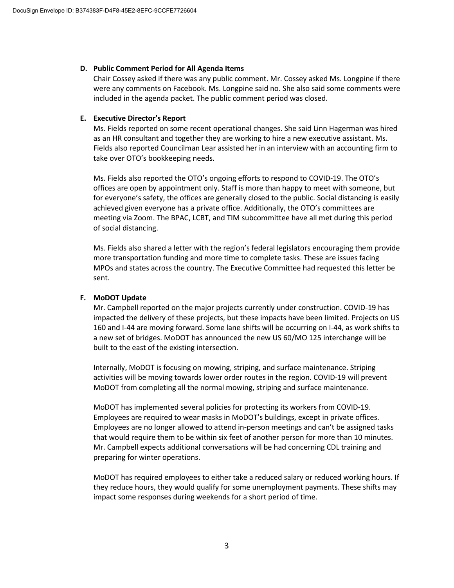### **D. Public Comment Period for All Agenda Items**

Chair Cossey asked if there was any public comment. Mr. Cossey asked Ms. Longpine if there were any comments on Facebook. Ms. Longpine said no. She also said some comments were included in the agenda packet. The public comment period was closed.

### **E. Executive Director's Report**

Ms. Fields reported on some recent operational changes. She said Linn Hagerman was hired as an HR consultant and together they are working to hire a new executive assistant. Ms. Fields also reported Councilman Lear assisted her in an interview with an accounting firm to take over OTO's bookkeeping needs.

Ms. Fields also reported the OTO's ongoing efforts to respond to COVID-19. The OTO's offices are open by appointment only. Staff is more than happy to meet with someone, but for everyone's safety, the offices are generally closed to the public. Social distancing is easily achieved given everyone has a private office. Additionally, the OTO's committees are meeting via Zoom. The BPAC, LCBT, and TIM subcommittee have all met during this period of social distancing.

Ms. Fields also shared a letter with the region's federal legislators encouraging them provide more transportation funding and more time to complete tasks. These are issues facing MPOs and states across the country. The Executive Committee had requested this letter be sent.

# **F. MoDOT Update**

Mr. Campbell reported on the major projects currently under construction. COVID-19 has impacted the delivery of these projects, but these impacts have been limited. Projects on US 160 and I-44 are moving forward. Some lane shifts will be occurring on I-44, as work shifts to a new set of bridges. MoDOT has announced the new US 60/MO 125 interchange will be built to the east of the existing intersection.

Internally, MoDOT is focusing on mowing, striping, and surface maintenance. Striping activities will be moving towards lower order routes in the region. COVID-19 will prevent MoDOT from completing all the normal mowing, striping and surface maintenance.

MoDOT has implemented several policies for protecting its workers from COVID-19. Employees are required to wear masks in MoDOT's buildings, except in private offices. Employees are no longer allowed to attend in-person meetings and can't be assigned tasks that would require them to be within six feet of another person for more than 10 minutes. Mr. Campbell expects additional conversations will be had concerning CDL training and preparing for winter operations.

MoDOT has required employees to either take a reduced salary or reduced working hours. If they reduce hours, they would qualify for some unemployment payments. These shifts may impact some responses during weekends for a short period of time.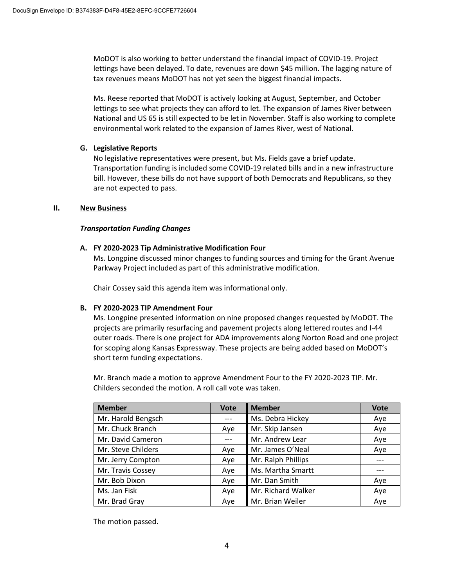MoDOT is also working to better understand the financial impact of COVID-19. Project lettings have been delayed. To date, revenues are down \$45 million. The lagging nature of tax revenues means MoDOT has not yet seen the biggest financial impacts.

Ms. Reese reported that MoDOT is actively looking at August, September, and October lettings to see what projects they can afford to let. The expansion of James River between National and US 65 is still expected to be let in November. Staff is also working to complete environmental work related to the expansion of James River, west of National.

### **G. Legislative Reports**

No legislative representatives were present, but Ms. Fields gave a brief update. Transportation funding is included some COVID-19 related bills and in a new infrastructure bill. However, these bills do not have support of both Democrats and Republicans, so they are not expected to pass.

### **II. New Business**

### *Transportation Funding Changes*

### **A. FY 2020-2023 Tip Administrative Modification Four**

Ms. Longpine discussed minor changes to funding sources and timing for the Grant Avenue Parkway Project included as part of this administrative modification.

Chair Cossey said this agenda item was informational only.

# **B. FY 2020-2023 TIP Amendment Four**

Ms. Longpine presented information on nine proposed changes requested by MoDOT. The projects are primarily resurfacing and pavement projects along lettered routes and I-44 outer roads. There is one project for ADA improvements along Norton Road and one project for scoping along Kansas Expressway. These projects are being added based on MoDOT's short term funding expectations.

Mr. Branch made a motion to approve Amendment Four to the FY 2020-2023 TIP. Mr. Childers seconded the motion. A roll call vote was taken.

| <b>Member</b>      | <b>Vote</b> | <b>Member</b>      | <b>Vote</b> |
|--------------------|-------------|--------------------|-------------|
| Mr. Harold Bengsch |             | Ms. Debra Hickey   | Aye         |
| Mr. Chuck Branch   | Aye         | Mr. Skip Jansen    | Aye         |
| Mr. David Cameron  |             | Mr. Andrew Lear    | Aye         |
| Mr. Steve Childers | Aye         | Mr. James O'Neal   | Aye         |
| Mr. Jerry Compton  | Aye         | Mr. Ralph Phillips |             |
| Mr. Travis Cossey  | Aye         | Ms. Martha Smartt  |             |
| Mr. Bob Dixon      | Aye         | Mr. Dan Smith      | Aye         |
| Ms. Jan Fisk       | Aye         | Mr. Richard Walker | Aye         |
| Mr. Brad Gray      | Aye         | Mr. Brian Weiler   | Aye         |

The motion passed.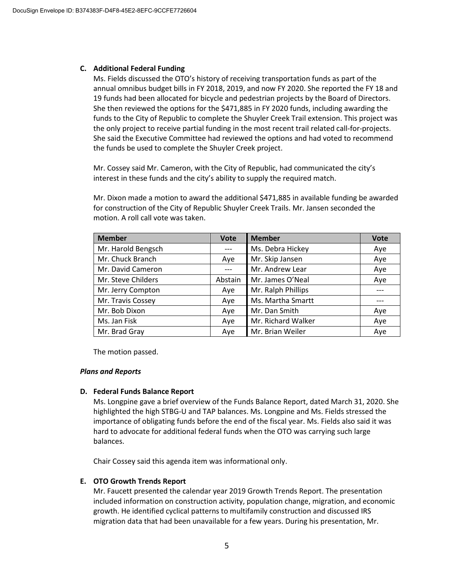#### **C. Additional Federal Funding**

Ms. Fields discussed the OTO's history of receiving transportation funds as part of the annual omnibus budget bills in FY 2018, 2019, and now FY 2020. She reported the FY 18 and 19 funds had been allocated for bicycle and pedestrian projects by the Board of Directors. She then reviewed the options for the \$471,885 in FY 2020 funds, including awarding the funds to the City of Republic to complete the Shuyler Creek Trail extension. This project was the only project to receive partial funding in the most recent trail related call-for-projects. She said the Executive Committee had reviewed the options and had voted to recommend the funds be used to complete the Shuyler Creek project.

Mr. Cossey said Mr. Cameron, with the City of Republic, had communicated the city's interest in these funds and the city's ability to supply the required match.

Mr. Dixon made a motion to award the additional \$471,885 in available funding be awarded for construction of the City of Republic Shuyler Creek Trails. Mr. Jansen seconded the motion. A roll call vote was taken.

| <b>Member</b>      | <b>Vote</b> | <b>Member</b>      | <b>Vote</b> |
|--------------------|-------------|--------------------|-------------|
| Mr. Harold Bengsch |             | Ms. Debra Hickey   | Aye         |
| Mr. Chuck Branch   | Aye         | Mr. Skip Jansen    | Aye         |
| Mr. David Cameron  |             | Mr. Andrew Lear    | Aye         |
| Mr. Steve Childers | Abstain     | Mr. James O'Neal   | Aye         |
| Mr. Jerry Compton  | Aye         | Mr. Ralph Phillips |             |
| Mr. Travis Cossey  | Aye         | Ms. Martha Smartt  |             |
| Mr. Bob Dixon      | Aye         | Mr. Dan Smith      | Aye         |
| Ms. Jan Fisk       | Aye         | Mr. Richard Walker | Aye         |
| Mr. Brad Gray      | Aye         | Mr. Brian Weiler   | Aye         |

The motion passed.

#### *Plans and Reports*

#### **D. Federal Funds Balance Report**

Ms. Longpine gave a brief overview of the Funds Balance Report, dated March 31, 2020. She highlighted the high STBG-U and TAP balances. Ms. Longpine and Ms. Fields stressed the importance of obligating funds before the end of the fiscal year. Ms. Fields also said it was hard to advocate for additional federal funds when the OTO was carrying such large balances.

Chair Cossey said this agenda item was informational only.

#### **E. OTO Growth Trends Report**

Mr. Faucett presented the calendar year 2019 Growth Trends Report. The presentation included information on construction activity, population change, migration, and economic growth. He identified cyclical patterns to multifamily construction and discussed IRS migration data that had been unavailable for a few years. During his presentation, Mr.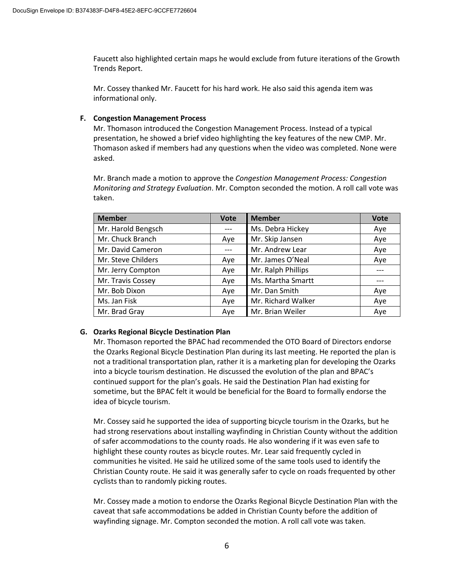Faucett also highlighted certain maps he would exclude from future iterations of the Growth Trends Report.

Mr. Cossey thanked Mr. Faucett for his hard work. He also said this agenda item was informational only.

# **F. Congestion Management Process**

Mr. Thomason introduced the Congestion Management Process. Instead of a typical presentation, he showed a brief video highlighting the key features of the new CMP. Mr. Thomason asked if members had any questions when the video was completed. None were asked.

Mr. Branch made a motion to approve the *Congestion Management Process: Congestion Monitoring and Strategy Evaluation*. Mr. Compton seconded the motion. A roll call vote was taken.

| <b>Member</b>      | <b>Vote</b> | <b>Member</b>      | <b>Vote</b> |
|--------------------|-------------|--------------------|-------------|
| Mr. Harold Bengsch |             | Ms. Debra Hickey   | Aye         |
| Mr. Chuck Branch   | Aye         | Mr. Skip Jansen    | Aye         |
| Mr. David Cameron  |             | Mr. Andrew Lear    | Aye         |
| Mr. Steve Childers | Aye         | Mr. James O'Neal   | Aye         |
| Mr. Jerry Compton  | Aye         | Mr. Ralph Phillips |             |
| Mr. Travis Cossey  | Aye         | Ms. Martha Smartt  |             |
| Mr. Bob Dixon      | Aye         | Mr. Dan Smith      | Aye         |
| Ms. Jan Fisk       | Aye         | Mr. Richard Walker | Aye         |
| Mr. Brad Gray      | Aye         | Mr. Brian Weiler   | Aye         |

# **G. Ozarks Regional Bicycle Destination Plan**

Mr. Thomason reported the BPAC had recommended the OTO Board of Directors endorse the Ozarks Regional Bicycle Destination Plan during its last meeting. He reported the plan is not a traditional transportation plan, rather it is a marketing plan for developing the Ozarks into a bicycle tourism destination. He discussed the evolution of the plan and BPAC's continued support for the plan's goals. He said the Destination Plan had existing for sometime, but the BPAC felt it would be beneficial for the Board to formally endorse the idea of bicycle tourism.

Mr. Cossey said he supported the idea of supporting bicycle tourism in the Ozarks, but he had strong reservations about installing wayfinding in Christian County without the addition of safer accommodations to the county roads. He also wondering if it was even safe to highlight these county routes as bicycle routes. Mr. Lear said frequently cycled in communities he visited. He said he utilized some of the same tools used to identify the Christian County route. He said it was generally safer to cycle on roads frequented by other cyclists than to randomly picking routes.

Mr. Cossey made a motion to endorse the Ozarks Regional Bicycle Destination Plan with the caveat that safe accommodations be added in Christian County before the addition of wayfinding signage. Mr. Compton seconded the motion. A roll call vote was taken.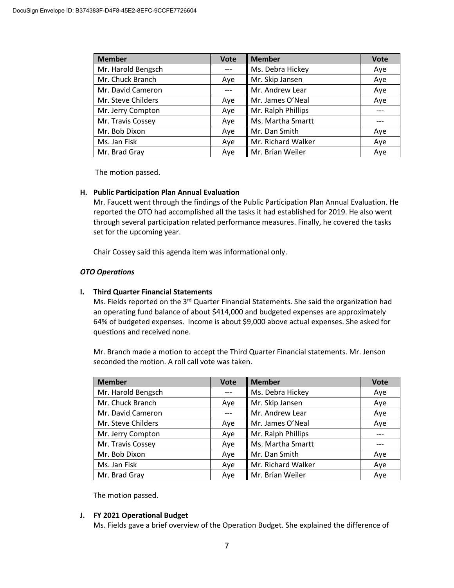| <b>Member</b>      | <b>Vote</b> | <b>Member</b>      | <b>Vote</b> |
|--------------------|-------------|--------------------|-------------|
| Mr. Harold Bengsch |             | Ms. Debra Hickey   | Aye         |
| Mr. Chuck Branch   | Aye         | Mr. Skip Jansen    | Aye         |
| Mr. David Cameron  |             | Mr. Andrew Lear    | Aye         |
| Mr. Steve Childers | Aye         | Mr. James O'Neal   | Aye         |
| Mr. Jerry Compton  | Aye         | Mr. Ralph Phillips |             |
| Mr. Travis Cossey  | Aye         | Ms. Martha Smartt  |             |
| Mr. Bob Dixon      | Aye         | Mr. Dan Smith      | Aye         |
| Ms. Jan Fisk       | Aye         | Mr. Richard Walker | Aye         |
| Mr. Brad Gray      | Aye         | Mr. Brian Weiler   | Aye         |

The motion passed.

### **H. Public Participation Plan Annual Evaluation**

Mr. Faucett went through the findings of the Public Participation Plan Annual Evaluation. He reported the OTO had accomplished all the tasks it had established for 2019. He also went through several participation related performance measures. Finally, he covered the tasks set for the upcoming year.

Chair Cossey said this agenda item was informational only.

# *OTO Operations*

### **I. Third Quarter Financial Statements**

Ms. Fields reported on the 3<sup>rd</sup> Quarter Financial Statements. She said the organization had an operating fund balance of about \$414,000 and budgeted expenses are approximately 64% of budgeted expenses. Income is about \$9,000 above actual expenses. She asked for questions and received none.

Mr. Branch made a motion to accept the Third Quarter Financial statements. Mr. Jenson seconded the motion. A roll call vote was taken.

| <b>Member</b>      | <b>Vote</b> | <b>Member</b>      | <b>Vote</b> |
|--------------------|-------------|--------------------|-------------|
| Mr. Harold Bengsch |             | Ms. Debra Hickey   | Aye         |
| Mr. Chuck Branch   | Aye         | Mr. Skip Jansen    | Aye         |
| Mr. David Cameron  |             | Mr. Andrew Lear    | Aye         |
| Mr. Steve Childers | Aye         | Mr. James O'Neal   | Aye         |
| Mr. Jerry Compton  | Aye         | Mr. Ralph Phillips |             |
| Mr. Travis Cossey  | Aye         | Ms. Martha Smartt  |             |
| Mr. Bob Dixon      | Aye         | Mr. Dan Smith      | Aye         |
| Ms. Jan Fisk       | Aye         | Mr. Richard Walker | Aye         |
| Mr. Brad Gray      | Aye         | Mr. Brian Weiler   | Aye         |

The motion passed.

#### **J. FY 2021 Operational Budget**

Ms. Fields gave a brief overview of the Operation Budget. She explained the difference of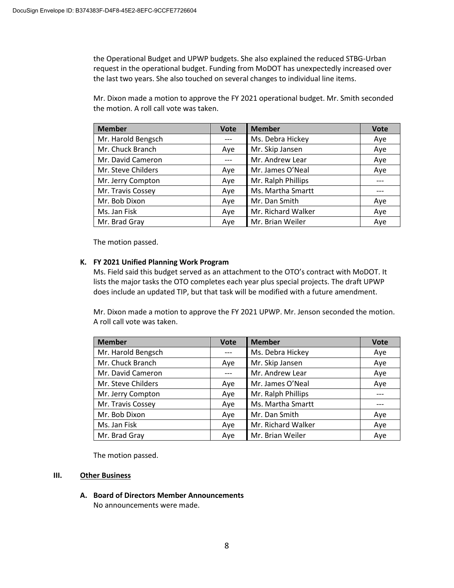the Operational Budget and UPWP budgets. She also explained the reduced STBG-Urban request in the operational budget. Funding from MoDOT has unexpectedly increased over the last two years. She also touched on several changes to individual line items.

Mr. Dixon made a motion to approve the FY 2021 operational budget. Mr. Smith seconded the motion. A roll call vote was taken.

| <b>Member</b>      | <b>Vote</b> | <b>Member</b>      | <b>Vote</b> |
|--------------------|-------------|--------------------|-------------|
| Mr. Harold Bengsch |             | Ms. Debra Hickey   | Aye         |
| Mr. Chuck Branch   | Aye         | Mr. Skip Jansen    | Aye         |
| Mr. David Cameron  |             | Mr. Andrew Lear    | Aye         |
| Mr. Steve Childers | Aye         | Mr. James O'Neal   | Aye         |
| Mr. Jerry Compton  | Aye         | Mr. Ralph Phillips |             |
| Mr. Travis Cossey  | Aye         | Ms. Martha Smartt  |             |
| Mr. Bob Dixon      | Aye         | Mr. Dan Smith      | Aye         |
| Ms. Jan Fisk       | Aye         | Mr. Richard Walker | Aye         |
| Mr. Brad Gray      | Ave         | Mr. Brian Weiler   | Aye         |

The motion passed.

# **K. FY 2021 Unified Planning Work Program**

Ms. Field said this budget served as an attachment to the OTO's contract with MoDOT. It lists the major tasks the OTO completes each year plus special projects. The draft UPWP does include an updated TIP, but that task will be modified with a future amendment.

Mr. Dixon made a motion to approve the FY 2021 UPWP. Mr. Jenson seconded the motion. A roll call vote was taken.

| <b>Member</b>      | <b>Vote</b> | <b>Member</b>      | <b>Vote</b> |
|--------------------|-------------|--------------------|-------------|
| Mr. Harold Bengsch |             | Ms. Debra Hickey   | Aye         |
| Mr. Chuck Branch   | Aye         | Mr. Skip Jansen    | Aye         |
| Mr. David Cameron  |             | Mr. Andrew Lear    | Aye         |
| Mr. Steve Childers | Aye         | Mr. James O'Neal   | Aye         |
| Mr. Jerry Compton  | Aye         | Mr. Ralph Phillips |             |
| Mr. Travis Cossey  | Aye         | Ms. Martha Smartt  |             |
| Mr. Bob Dixon      | Aye         | Mr. Dan Smith      | Aye         |
| Ms. Jan Fisk       | Aye         | Mr. Richard Walker | Aye         |
| Mr. Brad Gray      | Aye         | Mr. Brian Weiler   | Aye         |

The motion passed.

# **III. Other Business**

**A. Board of Directors Member Announcements**

No announcements were made.